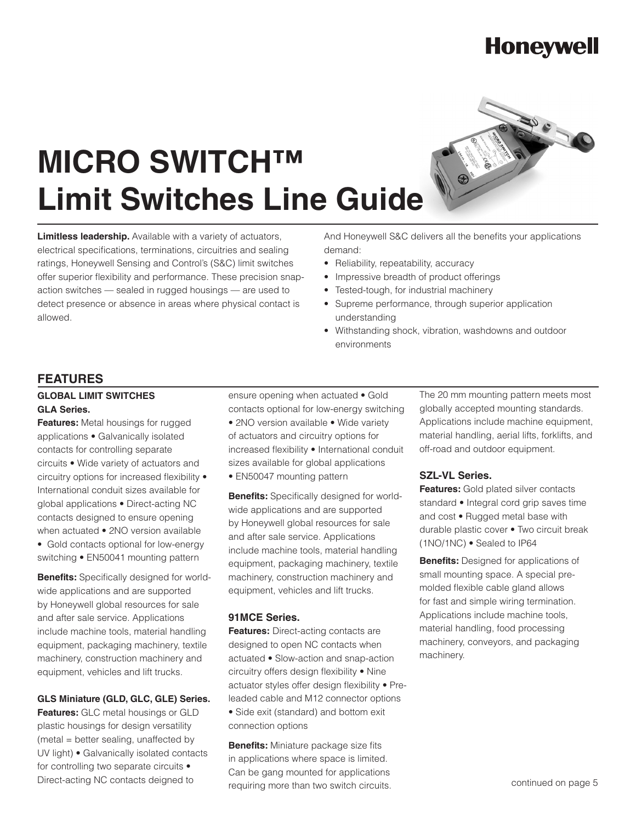# **Honeywell**

# **MICRO SWITCH™ Limit Switches Line Guide**

**Limitless leadership.** Available with a variety of actuators, electrical specifications, terminations, circuitries and sealing ratings, Honeywell Sensing and Control's (S&C) limit switches offer superior flexibility and performance. These precision snapaction switches — sealed in rugged housings — are used to detect presence or absence in areas where physical contact is allowed.

And Honeywell S&C delivers all the benefits your applications demand:

- Reliability, repeatability, accuracy
- Impressive breadth of product offerings
- Tested-tough, for industrial machinery
- Supreme performance, through superior application understanding
- Withstanding shock, vibration, washdowns and outdoor environments

# **FEATURES**

#### **GLOBAL LIMIT SWITCHES GLA Series.**

**Features:** Metal housings for rugged applications • Galvanically isolated contacts for controlling separate circuits • Wide variety of actuators and circuitry options for increased flexibility • International conduit sizes available for global applications • Direct-acting NC contacts designed to ensure opening when actuated • 2NO version available • Gold contacts optional for low-energy switching • EN50041 mounting pattern

**Benefits:** Specifically designed for worldwide applications and are supported by Honeywell global resources for sale and after sale service. Applications include machine tools, material handling equipment, packaging machinery, textile machinery, construction machinery and equipment, vehicles and lift trucks.

#### **GLS Miniature (GLD, GLC, GLE) Series.**

**Features:** GLC metal housings or GLD plastic housings for design versatility (metal = better sealing, unaffected by UV light) • Galvanically isolated contacts for controlling two separate circuits • Direct-acting NC contacts deigned to

ensure opening when actuated • Gold

contacts optional for low-energy switching • 2NO version available • Wide variety of actuators and circuitry options for increased flexibility • International conduit sizes available for global applications • EN50047 mounting pattern

**Benefits:** Specifically designed for worldwide applications and are supported by Honeywell global resources for sale and after sale service. Applications include machine tools, material handling equipment, packaging machinery, textile machinery, construction machinery and equipment, vehicles and lift trucks.

#### **91MCE Series.**

**Features:** Direct-acting contacts are designed to open NC contacts when actuated • Slow-action and snap-action circuitry offers design flexibility • Nine actuator styles offer design flexibility • Preleaded cable and M12 connector options • Side exit (standard) and bottom exit connection options

**Benefits:** Miniature package size fits in applications where space is limited. Can be gang mounted for applications requiring more than two switch circuits. The 20 mm mounting pattern meets most globally accepted mounting standards. Applications include machine equipment, material handling, aerial lifts, forklifts, and off-road and outdoor equipment.

#### **SZL-VL Series.**

**Features:** Gold plated silver contacts standard • Integral cord grip saves time and cost • Rugged metal base with durable plastic cover • Two circuit break (1NO/1NC) • Sealed to IP64

**Benefits:** Designed for applications of small mounting space. A special premolded flexible cable gland allows for fast and simple wiring termination. Applications include machine tools, material handling, food processing machinery, conveyors, and packaging machinery.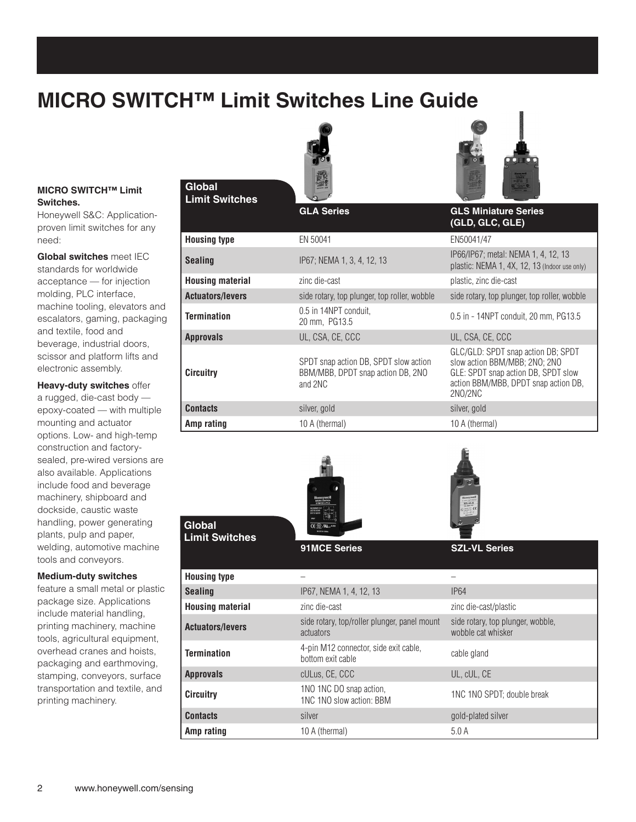# **MICRO SWITCH™ Limit Switches Line Guide**





#### **MICRO SWITCH™ Limit Switches.**

Honeywell S&C: Applicationproven limit switches for any need:

**Global switches** meet IEC standards for worldwide acceptance — for injection molding, PLC interface, machine tooling, elevators and escalators, gaming, packaging and textile, food and beverage, industrial doors, scissor and platform lifts and electronic assembly.

**Heavy-duty switches** offer a rugged, die-cast body epoxy-coated — with multiple mounting and actuator options. Low- and high-temp construction and factorysealed, pre-wired versions are also available. Applications include food and beverage machinery, shipboard and dockside, caustic waste handling, power generating plants, pulp and paper, welding, automotive machine tools and conveyors.

#### **Medium-duty switches**

feature a small metal or plastic package size. Applications include material handling, printing machinery, machine tools, agricultural equipment, overhead cranes and hoists, packaging and earthmoving, stamping, conveyors, surface transportation and textile, and printing machinery.

#### **Global Limit Switches**

**Global** 

**Limit Switches**

#### **GLA Series GLS Miniature Series (GLD, GLC, GLE) Housing type** EN 50041 EN 50041 **Sealing** IP67; NEMA 1, 3, 4, 12, 13<br> **Sealing** IP67; NEMA 1, 3, 4, 12, 13 plastic: NEMA 1, 4X, 12, 13 (Indoor use only) **Housing material zinc die-cast plastic, zinc die-cast plastic**, zinc die-cast **Actuators/levers** side rotary, top plunger, top roller, wobble side rotary, top plunger, top roller, wobble **Termination** 0.5 in 14NPT conduit,<br>20 mm, PG13.5 20 mm, PG13.5 0.5 in - 14NPT conduit, 20 mm, PG13.5 **Approvals** UL, CSA, CE, CCC UL, CSA, CE, CCC **Circuitry** SPDT snap action DB, SPDT slow action BBM/MBB, DPDT snap action DB, 2NO and 2NC GLC/GLD: SPDT snap action DB; SPDT slow action BBM/MBB; 2NO; 2NO GLE: SPDT snap action DB, SPDT slow action BBM/MBB, DPDT snap action DB, 2NO/2NC **Contacts** silver, gold silver, gold silver, gold silver, gold **Amp rating** 10 A (thermal) 10 A (thermal) 10 A (thermal)





| <b>Housing type</b>     |                                                            |                                                         |
|-------------------------|------------------------------------------------------------|---------------------------------------------------------|
| <b>Sealing</b>          | IP67, NEMA 1, 4, 12, 13                                    | <b>IP64</b>                                             |
| <b>Housing material</b> | zinc die-cast                                              | zinc die-cast/plastic                                   |
| <b>Actuators/levers</b> | side rotary, top/roller plunger, panel mount<br>actuators  | side rotary, top plunger, wobble,<br>wobble cat whisker |
| <b>Termination</b>      | 4-pin M12 connector, side exit cable,<br>bottom exit cable | cable gland                                             |
| <b>Approvals</b>        | cULus, CE, CCC                                             | UL, cUL, CE                                             |
| <b>Circuitry</b>        | 1NO 1NC DO snap action,<br>1NC 1NO slow action: BBM        | 1NC 1NO SPDT: double break                              |
| <b>Contacts</b>         | silver                                                     | gold-plated silver                                      |
| Amp rating              | 10 A (thermal)                                             | 5.0A                                                    |

**91MCE Series SZL-VL Series**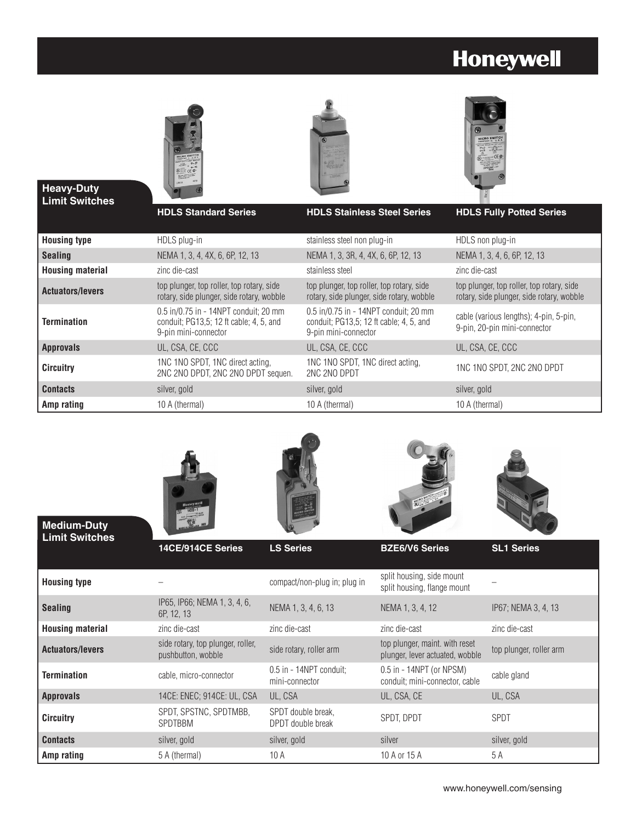# **Honeywell**







#### **Heavy-Duty Limit Switches**

**Medium-Duty**

|                         | <b>HDLS Standard Series</b>                                                                              | <b>HDLS Stainless Steel Series</b>                                                                       | <b>HDLS Fully Potted Series</b>                                                        |
|-------------------------|----------------------------------------------------------------------------------------------------------|----------------------------------------------------------------------------------------------------------|----------------------------------------------------------------------------------------|
| <b>Housing type</b>     | HDLS plug-in                                                                                             | stainless steel non plug-in                                                                              | HDLS non plug-in                                                                       |
| <b>Sealing</b>          | NEMA 1, 3, 4, 4X, 6, 6P, 12, 13                                                                          | NEMA 1, 3, 3R, 4, 4X, 6, 6P, 12, 13                                                                      | NEMA 1, 3, 4, 6, 6P, 12, 13                                                            |
| <b>Housing material</b> | zinc die-cast                                                                                            | stainless steel                                                                                          | zinc die-cast                                                                          |
| <b>Actuators/levers</b> | top plunger, top roller, top rotary, side<br>rotary, side plunger, side rotary, wobble                   | top plunger, top roller, top rotary, side<br>rotary, side plunger, side rotary, wobble                   | top plunger, top roller, top rotary, side<br>rotary, side plunger, side rotary, wobble |
| <b>Termination</b>      | 0.5 in/0.75 in - 14NPT conduit; 20 mm<br>conduit; PG13,5; 12 ft cable; 4, 5, and<br>9-pin mini-connector | 0.5 in/0.75 in - 14NPT conduit; 20 mm<br>conduit: PG13.5: 12 ft cable: 4, 5, and<br>9-pin mini-connector | cable (various lengths); 4-pin, 5-pin,<br>9-pin, 20-pin mini-connector                 |
| <b>Approvals</b>        | UL, CSA, CE, CCC                                                                                         | UL, CSA, CE, CCC                                                                                         | UL, CSA, CE, CCC                                                                       |
| <b>Circuitry</b>        | 1NC 1NO SPDT, 1NC direct acting,<br>2NC 2NO DPDT, 2NC 2NO DPDT sequen.                                   | 1NC 1NO SPDT, 1NC direct acting,<br>2NC 2NO DPDT                                                         | 1NC 1NO SPDT, 2NC 2NO DPDT                                                             |
| <b>Contacts</b>         | silver, gold                                                                                             | silver, gold                                                                                             | silver, gold                                                                           |
| Amp rating              | 10 A (thermal)                                                                                           | 10 A (thermal)                                                                                           | 10 A (thermal)                                                                         |









| <b>Limit Switches</b>   |                                                         |                                           |                                                                   |                         |
|-------------------------|---------------------------------------------------------|-------------------------------------------|-------------------------------------------------------------------|-------------------------|
|                         | 14CE/914CE Series                                       | <b>LS Series</b>                          | <b>BZE6/V6 Series</b>                                             | <b>SL1 Series</b>       |
| <b>Housing type</b>     |                                                         | compact/non-plug in; plug in              | split housing, side mount<br>split housing, flange mount          |                         |
| <b>Sealing</b>          | IP65, IP66; NEMA 1, 3, 4, 6,<br>6P, 12, 13              | NEMA 1, 3, 4, 6, 13                       | NEMA 1, 3, 4, 12                                                  | IP67; NEMA 3, 4, 13     |
| <b>Housing material</b> | zinc die-cast                                           | zinc die-cast                             | zinc die-cast                                                     | zinc die-cast           |
| <b>Actuators/levers</b> | side rotary, top plunger, roller,<br>pushbutton, wobble | side rotary, roller arm                   | top plunger, maint. with reset<br>plunger, lever actuated, wobble | top plunger, roller arm |
| <b>Termination</b>      | cable, micro-connector                                  | 0.5 in - 14NPT conduit;<br>mini-connector | $0.5$ in - 14NPT (or NPSM)<br>conduit; mini-connector, cable      | cable gland             |
| <b>Approvals</b>        | 14CE: ENEC; 914CE: UL, CSA                              | UL, CSA                                   | UL, CSA, CE                                                       | UL, CSA                 |
| <b>Circuitry</b>        | SPDT, SPSTNC, SPDTMBB,<br><b>SPDTBBM</b>                | SPDT double break,<br>DPDT double break   | SPDT. DPDT                                                        | <b>SPDT</b>             |
| <b>Contacts</b>         | silver, gold                                            | silver, gold                              | silver                                                            | silver, gold            |
| Amp rating              | 5 A (thermal)                                           | 10A                                       | 10 A or 15 A                                                      | 5 A                     |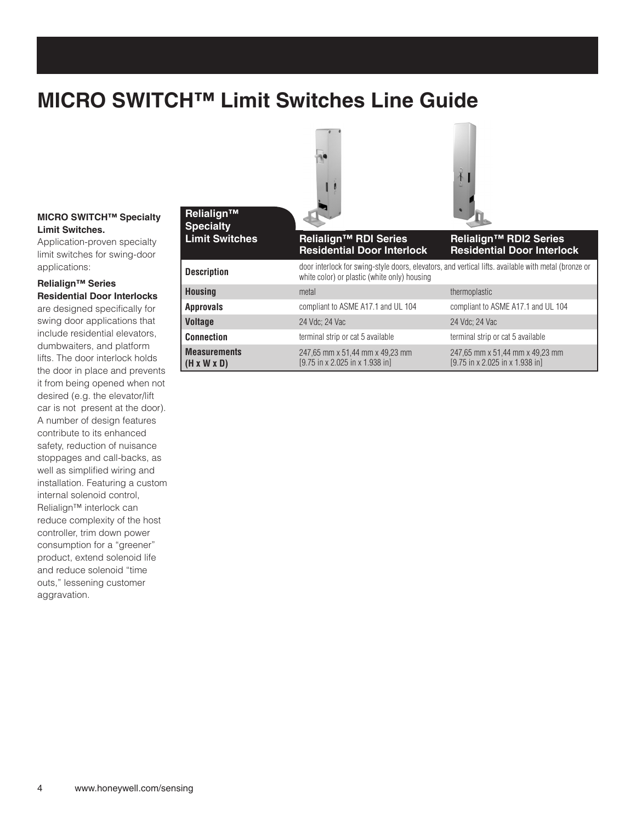# **MICRO SWITCH™ Limit Switches Line Guide**

#### **MICRO SWITCH™ Specialty Limit Switches.**

Application-proven specialty limit switches for swing-door applications:

#### **Relialign™ Series Residential Door Interlocks**

are designed specifically for swing door applications that include residential elevators, dumbwaiters, and platform lifts. The door interlock holds the door in place and prevents it from being opened when not desired (e.g. the elevator/lift car is not present at the door). A number of design features contribute to its enhanced safety, reduction of nuisance stoppages and call-backs, as well as simplified wiring and installation. Featuring a custom internal solenoid control, Relialign™ interlock can reduce complexity of the host controller, trim down power consumption for a "greener" product, extend solenoid life and reduce solenoid "time outs," lessening customer aggravation.

| Relialign™<br><b>Specialty</b>                 |                                                                                                                                                      |                                                                    |  |
|------------------------------------------------|------------------------------------------------------------------------------------------------------------------------------------------------------|--------------------------------------------------------------------|--|
| <b>Limit Switches</b>                          | <b>Relialign™ RDI Series</b><br><b>Residential Door Interlock</b>                                                                                    | <b>Relialign™ RDI2 Series</b><br><b>Residential Door Interlock</b> |  |
| <b>Description</b>                             | door interlock for swing-style doors, elevators, and vertical lifts, available with metal (bronze or<br>white color) or plastic (white only) housing |                                                                    |  |
| <b>Housing</b>                                 | metal                                                                                                                                                | thermoplastic                                                      |  |
| <b>Approvals</b>                               | compliant to ASME A17.1 and UL 104                                                                                                                   | compliant to ASME A17.1 and UL 104                                 |  |
| <b>Voltage</b>                                 | 24 Vdc: 24 Vac                                                                                                                                       | 24 Vdc: 24 Vac                                                     |  |
| <b>Connection</b>                              | terminal strip or cat 5 available                                                                                                                    | terminal strip or cat 5 available                                  |  |
| <b>Measurements</b><br>$(H \times W \times D)$ | 247,65 mm x 51,44 mm x 49,23 mm<br>[9.75 in x 2.025 in x 1.938 in]                                                                                   | 247,65 mm x 51,44 mm x 49,23 mm<br>[9.75 in x 2.025 in x 1.938 in] |  |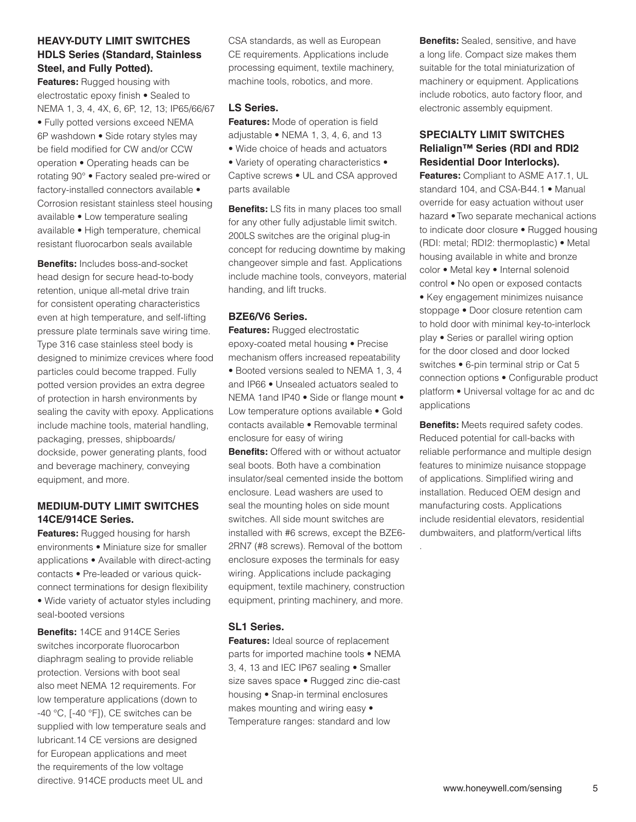# **HEAVY-DUTY LIMIT SWITCHES HDLS Series (Standard, Stainless Steel, and Fully Potted).**

**Features:** Rugged housing with electrostatic epoxy finish • Sealed to NEMA 1, 3, 4, 4X, 6, 6P, 12, 13; IP65/66/67 • Fully potted versions exceed NEMA 6P washdown • Side rotary styles may be field modified for CW and/or CCW operation • Operating heads can be rotating 90° • Factory sealed pre-wired or factory-installed connectors available • Corrosion resistant stainless steel housing available • Low temperature sealing available • High temperature, chemical resistant fluorocarbon seals available

**Benefits:** Includes boss-and-socket head design for secure head-to-body retention, unique all-metal drive train for consistent operating characteristics even at high temperature, and self-lifting pressure plate terminals save wiring time. Type 316 case stainless steel body is designed to minimize crevices where food particles could become trapped. Fully potted version provides an extra degree of protection in harsh environments by sealing the cavity with epoxy. Applications include machine tools, material handling, packaging, presses, shipboards/ dockside, power generating plants, food and beverage machinery, conveying equipment, and more.

## **MEDIUM-DUTY LIMIT SWITCHES 14CE/914CE Series.**

**Features:** Rugged housing for harsh environments • Miniature size for smaller applications • Available with direct-acting contacts • Pre-leaded or various quickconnect terminations for design flexibility • Wide variety of actuator styles including seal-booted versions

**Benefits:** 14CE and 914CE Series switches incorporate fluorocarbon diaphragm sealing to provide reliable protection. Versions with boot seal also meet NEMA 12 requirements. For low temperature applications (down to -40 °C, [-40 °F]), CE switches can be supplied with low temperature seals and lubricant.14 CE versions are designed for European applications and meet the requirements of the low voltage directive. 914CE products meet UL and

CSA standards, as well as European CE requirements. Applications include processing equiment, textile machinery, machine tools, robotics, and more.

### **LS Series.**

**Features:** Mode of operation is field adjustable • NEMA 1, 3, 4, 6, and 13

- Wide choice of heads and actuators
- Variety of operating characteristics Captive screws • UL and CSA approved parts available

**Benefits:** LS fits in many places too small for any other fully adjustable limit switch. 200LS switches are the original plug-in concept for reducing downtime by making changeover simple and fast. Applications include machine tools, conveyors, material handing, and lift trucks.

## **BZE6/V6 Series.**

**Features:** Rugged electrostatic epoxy-coated metal housing • Precise mechanism offers increased repeatability • Booted versions sealed to NEMA 1, 3, 4 and IP66 • Unsealed actuators sealed to NEMA 1and IP40 • Side or flange mount • Low temperature options available • Gold contacts available • Removable terminal enclosure for easy of wiring

**Benefits:** Offered with or without actuator seal boots. Both have a combination insulator/seal cemented inside the bottom enclosure. Lead washers are used to seal the mounting holes on side mount switches. All side mount switches are installed with #6 screws, except the BZE6- 2RN7 (#8 screws). Removal of the bottom enclosure exposes the terminals for easy wiring. Applications include packaging equipment, textile machinery, construction equipment, printing machinery, and more.

#### **SL1 Series.**

**Features:** Ideal source of replacement parts for imported machine tools • NEMA 3, 4, 13 and IEC IP67 sealing • Smaller size saves space • Rugged zinc die-cast housing • Snap-in terminal enclosures makes mounting and wiring easy • Temperature ranges: standard and low

**Benefits:** Sealed, sensitive, and have a long life. Compact size makes them suitable for the total miniaturization of machinery or equipment. Applications include robotics, auto factory floor, and electronic assembly equipment.

### **SPECIALTY LIMIT SWITCHES Relialign™ Series (RDI and RDI2 Residential Door Interlocks).**

**Features:** Compliant to ASME A17.1, UL standard 104, and CSA-B44.1 • Manual override for easy actuation without user hazard •Two separate mechanical actions to indicate door closure • Rugged housing (RDI: metal; RDI2: thermoplastic) • Metal housing available in white and bronze color • Metal key • Internal solenoid control • No open or exposed contacts • Key engagement minimizes nuisance stoppage • Door closure retention cam to hold door with minimal key-to-interlock play • Series or parallel wiring option for the door closed and door locked switches • 6-pin terminal strip or Cat 5 connection options • Configurable product platform • Universal voltage for ac and dc applications

**Benefits:** Meets required safety codes. Reduced potential for call-backs with reliable performance and multiple design features to minimize nuisance stoppage of applications. Simplified wiring and installation. Reduced OEM design and manufacturing costs. Applications include residential elevators, residential dumbwaiters, and platform/vertical lifts

.